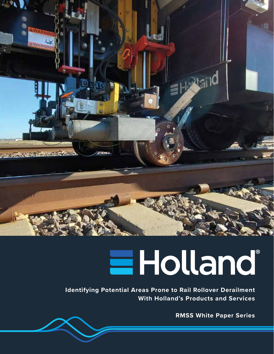

## **Holland**

**Identifying Potential Areas Prone to Rail Rollover Derailment With Holland's Products and Services**

**RMSS White Paper Series**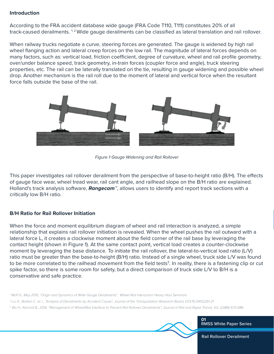## **Introduction**

According to the FRA accident database wide gauge (FRA Code T110, T111) constitutes 20% of all track-caused derailments. <sup>1,2</sup> Wide gauge derailments can be classified as lateral translation and rail rollover.

When railway trucks negotiate a curve, steering forces are generated. The gauge is widened by high rail wheel flanging action and lateral creep forces on the low rail. The magnitude of lateral forces depends on many factors, such as: vertical load, friction coefficient, degree of curvature, wheel and rail profile geometry, over/under balance speed, track geometry, in-train forces (coupler force and angle), truck steering properties, etc. The rail can be laterally translated on the tie, resulting in gauge widening and possible wheel drop. Another mechanism is the rail roll due to the moment of lateral and vertical force when the resultant force falls outside the base of the rail.



*Figure 1 Gauge Widening and Rail Rollover*

This paper investigates rail rollover derailment from the perspective of base-to-height ratio (B/H). The effects of gauge face wear, wheel tread wear, rail cant angle, and railhead slope on the B/H ratio are explained. Holland's track analysis software, *Rangecam™*, allows users to identify and report track sections with a critically low B/H ratio.

## **B/H Ratio for Rail Rollover Initiation**

When the force and moment equilibrium diagram of wheel and rail interaction is analyzed, a simple relationship that explains rail rollover initiation is revealed. When the wheel pushes the rail outward with a lateral force L, it creates a clockwise moment about the field corner of the rail base by leveraging the contact height (shown in Figure 1). At the same contact point, vertical load creates a counter-clockwise moment by leveraging the base distance. To initiate the rail rollover, the lateral-to-vertical load ratio (L/V) ratio must be greater than the base-to-height (B/H) ratio. Instead of a single wheel, truck side L/V was found to be more correlated to the railhead movement from the field tests<sup>3</sup>. In reality, there is a fastening clip or cut spike factor, so there is some room for safety, but a direct comparison of truck side L/V to B/H is a conservative and safe practice.

*1 Wolf G., May 2015, "Origin and Dynamics of Wide Gauge Derailments", Wheel Rail Interaction Heavy Haul Seminars*

*2 Liu X., Barkan C. et. l., "Analysis of Derailments by Accident Cause", Journal of the Transportation Research Board, DOI:10.3141/2261-21*

*3 Wu H., Kerchof B., 2014, "Management of Wheel/Rail Interface to Prevent Rail Rollover Derailments", Journal of Rail and Rapid Transit, Vol. 228(6) 673-686*

**01** RMSS White Paper Series

Rail Rollover Derailment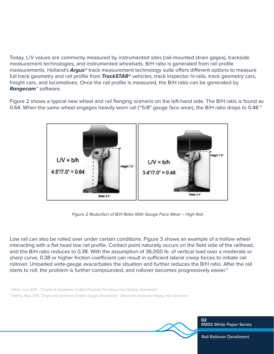Today, L/V values are commonly measured by instrumented sites (rail-mounted strain gages), trackside measurement technologies, and instrumented wheelsets. B/H ratio is generated from rail profile measurements. Holland's **Argus<sup>®</sup>** track measurement technology suite offers different options to measure full track geometry and rail profile from *TrackSTAR®* vehicles, track inspector hi-rails, track geometry cars, freight cars, and locomotives. Once the rail profile is measured, the B/H ratio can be generated by *Rangecam™* software.

Figure 2 shows a typical new wheel and rail flanging scenario on the left-hand side. The B/H ratio is found as 0.64. When the same wheel engages heavily worn rail (~5/8" gauge face wear), the B/H ratio drops to 0.48.4



 *Figure 2 Reduction of B/H Ratio With Gauge Face Wear – High Rail*

Low rail can also be rolled over under certain conditions. Figure 3 shows an example of a hollow wheel interacting with a flat head low rail profile. Contact point naturally occurs on the field side of the railhead, and the B/H ratio reduces to 0.38. With the assumption of 36,000 lb. of vertical load over a moderate or sharp curve, 0.38 or higher friction coefficient can result in sufficient lateral creep forces to initiate rail rollover. Unloaded wide-gauge exacerbates the situation and further reduces the B/H ratio. After the rail starts to roll, the problem is further compounded, and rollover becomes progressively easier.<sup>5</sup>

*4 IHHA, June 2015. "Chapter 8, Guidelines To Best Practices For Heavy Haul Railway Operations"*

*5 Wolf G., May 2015, "Origin and Dynamics of Wide Gauge Derailments", Wheel Rail Interaction Heavy Haul Seminars*



RMSS White Paper Series

Rail Rollover Derailment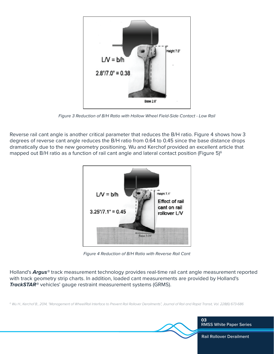

*Figure 3 Reduction of B/H Ratio with Hollow Wheel Field-Side Contact - Low Rail*

Reverse rail cant angle is another critical parameter that reduces the B/H ratio. Figure 4 shows how 3 degrees of reverse cant angle reduces the B/H ratio from 0.64 to 0.45 since the base distance drops dramatically due to the new geometry positioning. Wu and Kerchof provided an excellent article that mapped out B/H ratio as a function of rail cant angle and lateral contact position (Figure 5)<sup>6</sup>



*Figure 4 Reduction of B/H Ratio with Reverse Rail Cant*

Holland's *Argus®* track measurement technology provides real-time rail cant angle measurement reported with track geometry strip charts. In addition, loaded cant measurements are provided by Holland's *TrackSTAR®* vehicles' gauge restraint measurement systems (GRMS).

*6 Wu H., Kerchof B., 2014, "Management of Wheel/Rail Interface to Prevent Rail Rollover Derailments", Journal of Rail and Rapid Transit, Vol. 228(6) 673-686*

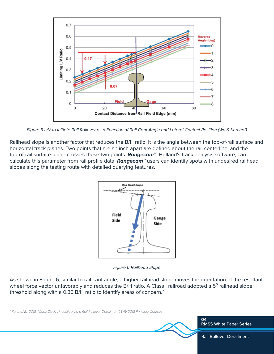

*Figure 5 L/V to Initiate Rail Rollover as a Function of Rail Cant Angle and Lateral Contact Position (Wu & Kerchof)*

Railhead slope is another factor that reduces the B/H ratio. It is the angle between the top-of-rail surface and horizontal track planes. Two points that are an inch apart are defined about the rail centerline, and the top-of-rail surface plane crosses these two points. *Rangecam™*, Holland's track analysis software, can calculate this parameter from rail profile data. *Rangecam™* users can identify spots with undesired railhead slopes along the testing route with detailed querying features.



*Figure 6 Railhead Slope*

As shown in Figure 6, similar to rail cant angle, a higher railhead slope moves the orientation of the resultant wheel force vector unfavorably and reduces the B/H ratio. A Class I railroad adopted a 5<sup>°</sup> railhead slope threshold along with a 0.35 B/H ratio to identify areas of concern.7

*7 Kerchof B., 2018. "Case Study : Investigating a Rail Rollover Derailment", WRI 2018 Principle Courses*

**04** RMSS White Paper Series

Rail Rollover Derailment